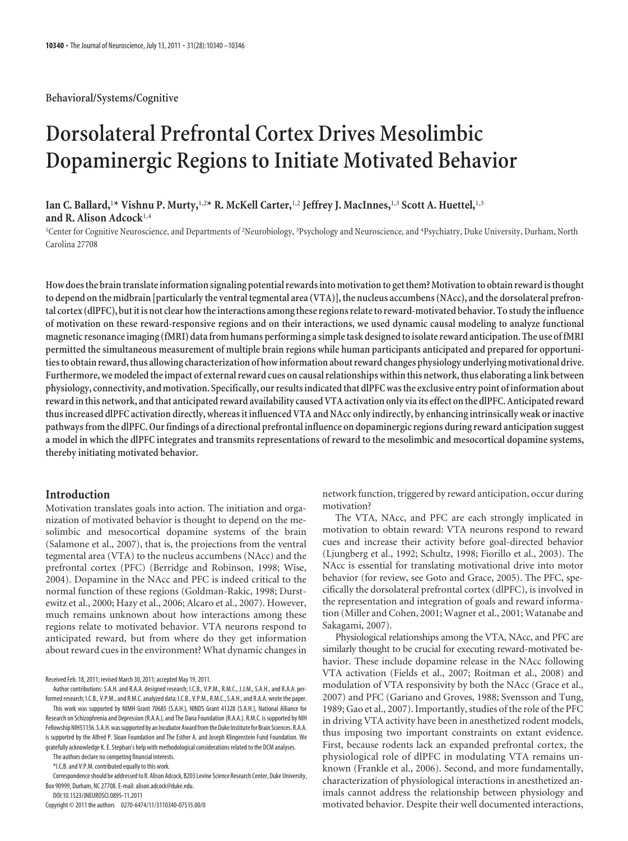#### **Behavioral/Systems/Cognitive**

# **Dorsolateral Prefrontal Cortex Drives Mesolimbic Dopaminergic Regions to Initiate Motivated Behavior**

**Ian C. Ballard,**<sup>1</sup> **\* Vishnu P. Murty,**1,2**\* R. McKell Carter,**1,2 **Jeffrey J. MacInnes,**1,3 **Scott A. Huettel,**1,3 **and R. Alison Adcock**1,4

<sup>1</sup>Center for Cognitive Neuroscience, and Departments of <sup>2</sup>Neurobiology, <sup>3</sup>Psychology and Neuroscience, and <sup>4</sup>Psychiatry, Duke University, Durham, North Carolina 27708

**How doesthe braintranslate information signaling potential rewards into motivationto getthem? Motivationto obtain reward isthought to depend on the midbrain [particularly the ventral tegmental area (VTA)], the nucleus accumbens (NAcc), and the dorsolateral prefron**tal cortex (dlPFC), but it is not clear how the interactions among these regions relate to reward-motivated behavior. To study the influence **of motivation on these reward-responsive regions and on their interactions, we used dynamic causal modeling to analyze functional magnetic resonance imaging (fMRI) datafrom humans performing a simpletask designedto isolate reward anticipation. The use offMRI permitted the simultaneous measurement of multiple brain regions while human participants anticipated and prepared for opportunitiesto obtain reward,thus allowing characterization of howinformation about reward changes physiology underlyingmotivational drive.** Furthermore, we modeled the impact of external reward cues on causal relationships within this network, thus elaborating a link between **physiology, connectivity, and motivation. Specifically, our results indicatedthat dlPFC wasthe exclusive entry point of information about reward inthis network, andthat anticipated reward availability caused VTA activation only via its effect onthe dlPFC. Anticipated reward thus increased dlPFC activation directly, whereas it influenced VTA and NAcc only indirectly, by enhancing intrinsically weak or inactive pathways from the dlPFC. Our findings of a directional prefrontal influence on dopaminergic regions during reward anticipation suggest a model in which the dlPFC integrates and transmits representations of reward to the mesolimbic and mesocortical dopamine systems, thereby initiating motivated behavior.**

#### **Introduction**

Motivation translates goals into action. The initiation and organization of motivated behavior is thought to depend on the mesolimbic and mesocortical dopamine systems of the brain (Salamone et al., 2007), that is, the projections from the ventral tegmental area (VTA) to the nucleus accumbens (NAcc) and the prefrontal cortex (PFC) (Berridge and Robinson, 1998; Wise, 2004). Dopamine in the NAcc and PFC is indeed critical to the normal function of these regions (Goldman-Rakic, 1998; Durstewitz et al., 2000; Hazy et al., 2006; Alcaro et al., 2007). However, much remains unknown about how interactions among these regions relate to motivated behavior. VTA neurons respond to anticipated reward, but from where do they get information about reward cues in the environment? What dynamic changes in

Received Feb. 18, 2011; revised March 30, 2011; accepted May 19, 2011.

Author contributions: S.A.H. and R.A.A. designed research; I.C.B., V.P.M., R.M.C., J.J.M., S.A.H., and R.A.A. performed research; I.C.B., V.P.M., and R.M.C. analyzed data; I.C.B., V.P.M., R.M.C., S.A.H., and R.A.A. wrote the paper.

The authors declare no competing financial interests.

\*I.C.B. and V.P.M. contributed equally to this work.

DOI:10.1523/JNEUROSCI.0895-11.2011

Copyright © 2011 the authors 0270-6474/11/3110340-07\$15.00/0

network function, triggered by reward anticipation, occur during motivation?

The VTA, NAcc, and PFC are each strongly implicated in motivation to obtain reward: VTA neurons respond to reward cues and increase their activity before goal-directed behavior (Ljungberg et al., 1992; Schultz, 1998; Fiorillo et al., 2003). The NAcc is essential for translating motivational drive into motor behavior (for review, see Goto and Grace, 2005). The PFC, specifically the dorsolateral prefrontal cortex (dlPFC), is involved in the representation and integration of goals and reward information (Miller and Cohen, 2001; Wagner et al., 2001; Watanabe and Sakagami, 2007).

Physiological relationships among the VTA, NAcc, and PFC are similarly thought to be crucial for executing reward-motivated behavior. These include dopamine release in the NAcc following VTA activation (Fields et al., 2007; Roitman et al., 2008) and modulation of VTA responsivity by both the NAcc (Grace et al., 2007) and PFC (Gariano and Groves, 1988; Svensson and Tung, 1989; Gao et al., 2007). Importantly, studies of the role of the PFC in driving VTA activity have been in anesthetized rodent models, thus imposing two important constraints on extant evidence. First, because rodents lack an expanded prefrontal cortex, the physiological role of dlPFC in modulating VTA remains unknown (Frankle et al., 2006). Second, and more fundamentally, characterization of physiological interactions in anesthetized animals cannot address the relationship between physiology and motivated behavior. Despite their well documented interactions,

This work was supported by NIMH Grant 70685 (S.A.H.), NINDS Grant 41328 (S.A.H.), National Alliance for Research on Schizophrenia and Depression (R.A.A.), and The Dana Foundation (R.A.A.). R.M.C. is supported by NIH Fellowship NIH51156. S.A.H. was supported by an Incubator Award from the Duke Institute for Brain Sciences. R.A.A. is supported by the Alfred P. Sloan Foundation and The Esther A. and Joseph Klingenstein Fund Foundation. We gratefully acknowledge K. E. Stephan's help with methodological considerations related to the DCM analyses.

Correspondenceshould be addressed to R. Alison Adcock, B203 Levine Science Research Center, Duke University, Box 90999, Durham, NC 27708. E-mail: alison.adcock@duke.edu.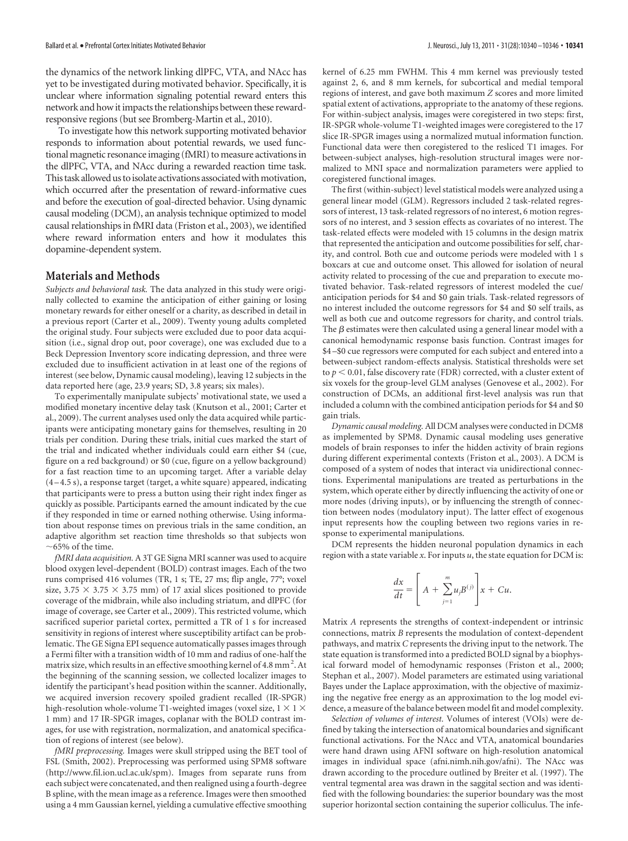the dynamics of the network linking dlPFC, VTA, and NAcc has yet to be investigated during motivated behavior. Specifically, it is unclear where information signaling potential reward enters this network and how it impacts the relationships between these rewardresponsive regions (but see Bromberg-Martin et al., 2010).

To investigate how this network supporting motivated behavior responds to information about potential rewards, we used functional magnetic resonance imaging (fMRI) to measure activations in the dlPFC, VTA, and NAcc during a rewarded reaction time task. This task allowed us to isolate activations associated with motivation, which occurred after the presentation of reward-informative cues and before the execution of goal-directed behavior. Using dynamic causal modeling (DCM), an analysis technique optimized to model causal relationships in fMRI data (Friston et al., 2003), we identified where reward information enters and how it modulates this dopamine-dependent system.

#### **Materials and Methods**

*Subjects and behavioral task.* The data analyzed in this study were originally collected to examine the anticipation of either gaining or losing monetary rewards for either oneself or a charity, as described in detail in a previous report (Carter et al., 2009). Twenty young adults completed the original study. Four subjects were excluded due to poor data acquisition (i.e., signal drop out, poor coverage), one was excluded due to a Beck Depression Inventory score indicating depression, and three were excluded due to insufficient activation in at least one of the regions of interest (see below, Dynamic causal modeling), leaving 12 subjects in the data reported here (age, 23.9 years; SD, 3.8 years; six males).

To experimentally manipulate subjects' motivational state, we used a modified monetary incentive delay task (Knutson et al., 2001; Carter et al., 2009). The current analyses used only the data acquired while participants were anticipating monetary gains for themselves, resulting in 20 trials per condition. During these trials, initial cues marked the start of the trial and indicated whether individuals could earn either \$4 (cue, figure on a red background) or \$0 (cue, figure on a yellow background) for a fast reaction time to an upcoming target. After a variable delay (4 – 4.5 s), a response target (target, a white square) appeared, indicating that participants were to press a button using their right index finger as quickly as possible. Participants earned the amount indicated by the cue if they responded in time or earned nothing otherwise. Using information about response times on previous trials in the same condition, an adaptive algorithm set reaction time thresholds so that subjects won  $\sim$  65% of the time.

*fMRI data acquisition.* A 3T GE Signa MRI scanner was used to acquire blood oxygen level-dependent (BOLD) contrast images. Each of the two runs comprised 416 volumes (TR, 1 s; TE, 27 ms; flip angle, 77°; voxel size,  $3.75 \times 3.75 \times 3.75$  mm) of 17 axial slices positioned to provide coverage of the midbrain, while also including striatum, and dlPFC (for image of coverage, see Carter et al., 2009). This restricted volume, which sacrificed superior parietal cortex, permitted a TR of 1 s for increased sensitivity in regions of interest where susceptibility artifact can be problematic. The GE Signa EPI sequence automatically passes images through a Fermi filter with a transition width of 10 mm and radius of one-half the matrix size, which results in an effective smoothing kernel of 4.8 mm<sup>2</sup>. At the beginning of the scanning session, we collected localizer images to identify the participant's head position within the scanner. Additionally, we acquired inversion recovery spoiled gradient recalled (IR-SPGR) high-resolution whole-volume T1-weighted images (voxel size, 1  $\times$  1  $\times$ 1 mm) and 17 IR-SPGR images, coplanar with the BOLD contrast images, for use with registration, normalization, and anatomical specification of regions of interest (see below).

*fMRI preprocessing.* Images were skull stripped using the BET tool of FSL (Smith, 2002). Preprocessing was performed using SPM8 software (http://www.fil.ion.ucl.ac.uk/spm). Images from separate runs from each subject were concatenated, and then realigned using a fourth-degree B spline, with the mean image as a reference. Images were then smoothed using a 4 mm Gaussian kernel, yielding a cumulative effective smoothing

kernel of 6.25 mm FWHM. This 4 mm kernel was previously tested against 2, 6, and 8 mm kernels, for subcortical and medial temporal regions of interest, and gave both maximum *Z* scores and more limited spatial extent of activations, appropriate to the anatomy of these regions. For within-subject analysis, images were coregistered in two steps: first, IR-SPGR whole-volume T1-weighted images were coregistered to the 17 slice IR-SPGR images using a normalized mutual information function. Functional data were then coregistered to the resliced T1 images. For between-subject analyses, high-resolution structural images were normalized to MNI space and normalization parameters were applied to coregistered functional images.

The first (within-subject) level statistical models were analyzed using a general linear model (GLM). Regressors included 2 task-related regressors of interest, 13 task-related regressors of no interest, 6 motion regressors of no interest, and 3 session effects as covariates of no interest. The task-related effects were modeled with 15 columns in the design matrix that represented the anticipation and outcome possibilities for self, charity, and control. Both cue and outcome periods were modeled with 1 s boxcars at cue and outcome onset. This allowed for isolation of neural activity related to processing of the cue and preparation to execute motivated behavior. Task-related regressors of interest modeled the cue/ anticipation periods for \$4 and \$0 gain trials. Task-related regressors of no interest included the outcome regressors for \$4 and \$0 self trails, as well as both cue and outcome regressors for charity, and control trials. The  $\beta$  estimates were then calculated using a general linear model with a canonical hemodynamic response basis function. Contrast images for \$4 –\$0 cue regressors were computed for each subject and entered into a between-subject random-effects analysis. Statistical thresholds were set to  $p < 0.01$ , false discovery rate (FDR) corrected, with a cluster extent of six voxels for the group-level GLM analyses (Genovese et al., 2002). For construction of DCMs, an additional first-level analysis was run that included a column with the combined anticipation periods for \$4 and \$0 gain trials.

*Dynamic causal modeling.* All DCM analyses were conducted in DCM8 as implemented by SPM8. Dynamic causal modeling uses generative models of brain responses to infer the hidden activity of brain regions during different experimental contexts (Friston et al., 2003). A DCM is composed of a system of nodes that interact via unidirectional connections. Experimental manipulations are treated as perturbations in the system, which operate either by directly influencing the activity of one or more nodes (driving inputs), or by influencing the strength of connection between nodes (modulatory input). The latter effect of exogenous input represents how the coupling between two regions varies in response to experimental manipulations.

DCM represents the hidden neuronal population dynamics in each region with a state variable *x*. For inputs *u*, the state equation for DCM is:

$$
\frac{dx}{dt} = \left[A + \sum_{j=1}^{m} u_j B^{(j)}\right]x + Cu.
$$

Matrix *A* represents the strengths of context-independent or intrinsic connections, matrix *B* represents the modulation of context-dependent pathways, and matrix *C* represents the driving input to the network. The state equation is transformed into a predicted BOLD signal by a biophysical forward model of hemodynamic responses (Friston et al., 2000; Stephan et al., 2007). Model parameters are estimated using variational Bayes under the Laplace approximation, with the objective of maximizing the negative free energy as an approximation to the log model evidence, a measure of the balance between model fit and model complexity.

*Selection of volumes of interest.* Volumes of interest (VOIs) were defined by taking the intersection of anatomical boundaries and significant functional activations. For the NAcc and VTA, anatomical boundaries were hand drawn using AFNI software on high-resolution anatomical images in individual space (afni.nimh.nih.gov/afni). The NAcc was drawn according to the procedure outlined by Breiter et al. (1997). The ventral tegmental area was drawn in the saggital section and was identified with the following boundaries: the superior boundary was the most superior horizontal section containing the superior colliculus. The infe-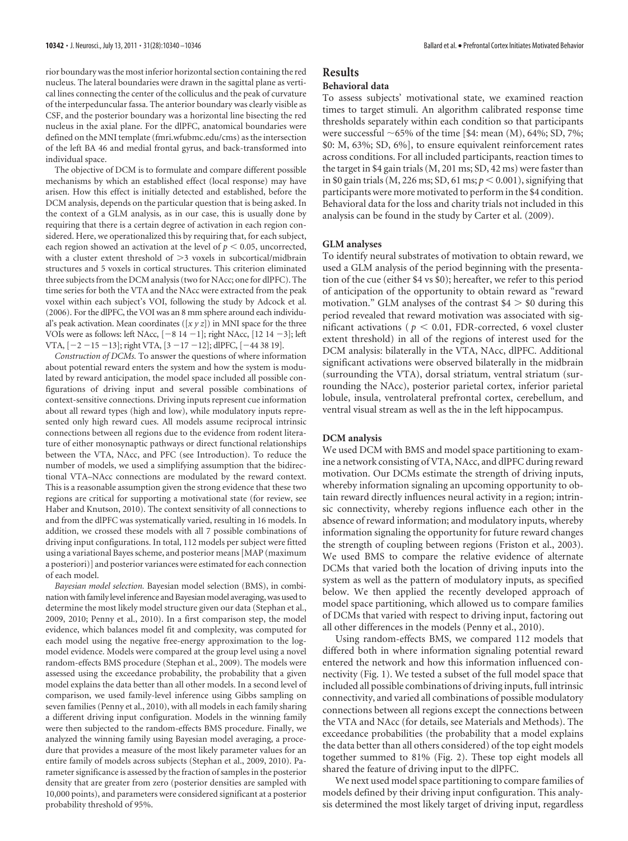rior boundary was the most inferior horizontal section containing the red nucleus. The lateral boundaries were drawn in the sagittal plane as vertical lines connecting the center of the colliculus and the peak of curvature of the interpeduncular fassa. The anterior boundary was clearly visible as CSF, and the posterior boundary was a horizontal line bisecting the red nucleus in the axial plane. For the dlPFC, anatomical boundaries were defined on the MNI template (fmri.wfubmc.edu/cms) as the intersection of the left BA 46 and medial frontal gyrus, and back-transformed into individual space.

The objective of DCM is to formulate and compare different possible mechanisms by which an established effect (local response) may have arisen. How this effect is initially detected and established, before the DCM analysis, depends on the particular question that is being asked. In the context of a GLM analysis, as in our case, this is usually done by requiring that there is a certain degree of activation in each region considered. Here, we operationalized this by requiring that, for each subject, each region showed an activation at the level of  $p < 0.05$ , uncorrected, with a cluster extent threshold of  $>3$  voxels in subcortical/midbrain structures and 5 voxels in cortical structures. This criterion eliminated three subjects from the DCM analysis (two for NAcc; one for dlPFC). The time series for both the VTA and the NAcc were extracted from the peak voxel within each subject's VOI, following the study by Adcock et al. (2006). For the dlPFC, the VOI was an 8 mm sphere around each individual's peak activation. Mean coordinates ([*xyz*]) in MNI space for the three VOIs were as follows: left NAcc,  $[-8 \ 14 \ -1]$ ; right NAcc,  $[12 \ 14 \ -3]$ ; left VTA,  $[-2 - 15 - 13]$ ; right VTA,  $[3 - 17 - 12]$ ; dlPFC,  $[-44 38 19]$ .

*Construction of DCMs.* To answer the questions of where information about potential reward enters the system and how the system is modulated by reward anticipation, the model space included all possible configurations of driving input and several possible combinations of context-sensitive connections. Driving inputs represent cue information about all reward types (high and low), while modulatory inputs represented only high reward cues. All models assume reciprocal intrinsic connections between all regions due to the evidence from rodent literature of either monosynaptic pathways or direct functional relationships between the VTA, NAcc, and PFC (see Introduction). To reduce the number of models, we used a simplifying assumption that the bidirectional VTA–NAcc connections are modulated by the reward context. This is a reasonable assumption given the strong evidence that these two regions are critical for supporting a motivational state (for review, see Haber and Knutson, 2010). The context sensitivity of all connections to and from the dlPFC was systematically varied, resulting in 16 models. In addition, we crossed these models with all 7 possible combinations of driving input configurations. In total, 112 models per subject were fitted using a variational Bayes scheme, and posterior means [MAP (maximum a posteriori)] and posterior variances were estimated for each connection of each model.

*Bayesian model selection.* Bayesian model selection (BMS), in combination with family level inference and Bayesian model averaging, was used to determine the most likely model structure given our data (Stephan et al., 2009, 2010; Penny et al., 2010). In a first comparison step, the model evidence, which balances model fit and complexity, was computed for each model using the negative free-energy approximation to the logmodel evidence. Models were compared at the group level using a novel random-effects BMS procedure (Stephan et al., 2009). The models were assessed using the exceedance probability, the probability that a given model explains the data better than all other models. In a second level of comparison, we used family-level inference using Gibbs sampling on seven families (Penny et al., 2010), with all models in each family sharing a different driving input configuration. Models in the winning family were then subjected to the random-effects BMS procedure. Finally, we analyzed the winning family using Bayesian model averaging, a procedure that provides a measure of the most likely parameter values for an entire family of models across subjects (Stephan et al., 2009, 2010). Parameter significance is assessed by the fraction of samples in the posterior density that are greater from zero (posterior densities are sampled with 10,000 points), and parameters were considered significant at a posterior probability threshold of 95%.

## **Results**

### **Behavioral data**

To assess subjects' motivational state, we examined reaction times to target stimuli. An algorithm calibrated response time thresholds separately within each condition so that participants were successful  $\sim$  65% of the time [\$4: mean (M), 64%; SD, 7%; \$0: M, 63%; SD, 6%], to ensure equivalent reinforcement rates across conditions. For all included participants, reaction times to the target in \$4 gain trials (M, 201 ms; SD, 42 ms) were faster than in \$0 gain trials (M, 226 ms; SD, 61 ms;  $p < 0.001$ ), signifying that participants were more motivated to perform in the \$4 condition. Behavioral data for the loss and charity trials not included in this analysis can be found in the study by Carter et al. (2009).

#### **GLM analyses**

To identify neural substrates of motivation to obtain reward, we used a GLM analysis of the period beginning with the presentation of the cue (either \$4 vs \$0); hereafter, we refer to this period of anticipation of the opportunity to obtain reward as "reward motivation." GLM analyses of the contrast  $$4 > $0$  during this period revealed that reward motivation was associated with significant activations ( $p < 0.01$ , FDR-corrected, 6 voxel cluster extent threshold) in all of the regions of interest used for the DCM analysis: bilaterally in the VTA, NAcc, dlPFC. Additional significant activations were observed bilaterally in the midbrain (surrounding the VTA), dorsal striatum, ventral striatum (surrounding the NAcc), posterior parietal cortex, inferior parietal lobule, insula, ventrolateral prefrontal cortex, cerebellum, and ventral visual stream as well as the in the left hippocampus.

#### **DCM analysis**

We used DCM with BMS and model space partitioning to examine a network consisting of VTA, NAcc, and dlPFC during reward motivation. Our DCMs estimate the strength of driving inputs, whereby information signaling an upcoming opportunity to obtain reward directly influences neural activity in a region; intrinsic connectivity, whereby regions influence each other in the absence of reward information; and modulatory inputs, whereby information signaling the opportunity for future reward changes the strength of coupling between regions (Friston et al., 2003). We used BMS to compare the relative evidence of alternate DCMs that varied both the location of driving inputs into the system as well as the pattern of modulatory inputs, as specified below. We then applied the recently developed approach of model space partitioning, which allowed us to compare families of DCMs that varied with respect to driving input, factoring out all other differences in the models (Penny et al., 2010).

Using random-effects BMS, we compared 112 models that differed both in where information signaling potential reward entered the network and how this information influenced connectivity (Fig. 1). We tested a subset of the full model space that included all possible combinations of driving inputs, full intrinsic connectivity, and varied all combinations of possible modulatory connections between all regions except the connections between the VTA and NAcc (for details, see Materials and Methods). The exceedance probabilities (the probability that a model explains the data better than all others considered) of the top eight models together summed to 81% (Fig. 2). These top eight models all shared the feature of driving input to the dlPFC.

We next used model space partitioning to compare families of models defined by their driving input configuration. This analysis determined the most likely target of driving input, regardless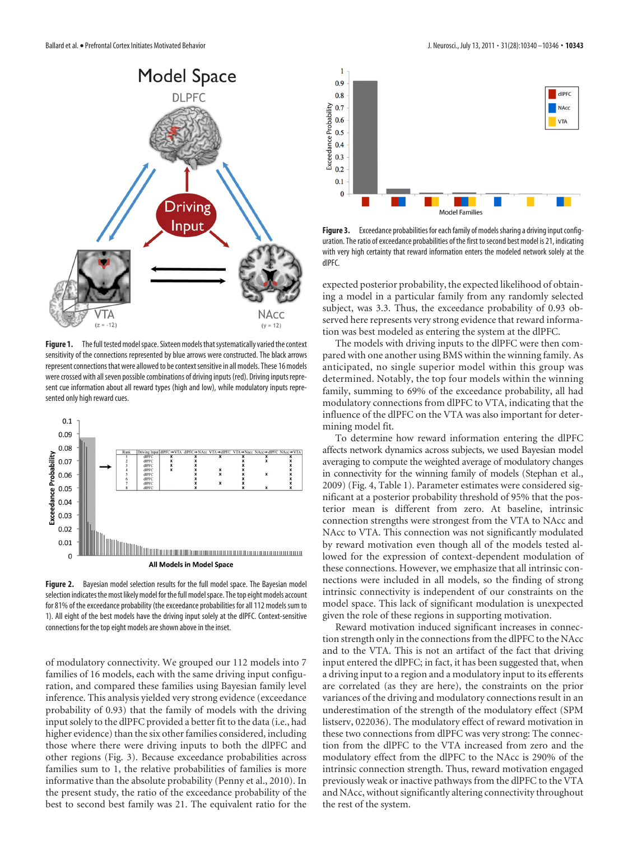

Figure 1. The full tested model space. Sixteen models that systematically varied the context sensitivity of the connections represented by blue arrows were constructed. The black arrows represent connections that were allowed to be context sensitive in all models. These 16 models were crossed with all seven possible combinations of driving inputs (red). Driving inputs represent cue information about all reward types (high and low), while modulatory inputs represented only high reward cues.



**Figure 2.** Bayesian model selection results for the full model space. The Bayesian model selection indicates the most likely model for the full model space. The top eight models account for 81% of the exceedance probability (the exceedance probabilities for all 112 models sum to 1). All eight of the best models have the driving input solely at the dlPFC. Context-sensitive connections for the top eight models are shown above in the inset.

of modulatory connectivity. We grouped our 112 models into 7 families of 16 models, each with the same driving input configuration, and compared these families using Bayesian family level inference. This analysis yielded very strong evidence (exceedance probability of 0.93) that the family of models with the driving input solely to the dlPFC provided a better fit to the data (i.e., had higher evidence) than the six other families considered, including those where there were driving inputs to both the dlPFC and other regions (Fig. 3). Because exceedance probabilities across families sum to 1, the relative probabilities of families is more informative than the absolute probability (Penny et al., 2010). In the present study, the ratio of the exceedance probability of the best to second best family was 21. The equivalent ratio for the



Figure 3. Exceedance probabilities for each family of models sharing a driving input configuration. The ratio of exceedance probabilities of the first to second best model is 21, indicating with very high certainty that reward information enters the modeled network solely at the dlPFC.

expected posterior probability, the expected likelihood of obtaining a model in a particular family from any randomly selected subject, was 3.3. Thus, the exceedance probability of 0.93 observed here represents very strong evidence that reward information was best modeled as entering the system at the dlPFC.

The models with driving inputs to the dlPFC were then compared with one another using BMS within the winning family. As anticipated, no single superior model within this group was determined. Notably, the top four models within the winning family, summing to 69% of the exceedance probability, all had modulatory connections from dlPFC to VTA, indicating that the influence of the dlPFC on the VTA was also important for determining model fit.

To determine how reward information entering the dlPFC affects network dynamics across subjects, we used Bayesian model averaging to compute the weighted average of modulatory changes in connectivity for the winning family of models (Stephan et al., 2009) (Fig. 4, Table 1). Parameter estimates were considered significant at a posterior probability threshold of 95% that the posterior mean is different from zero. At baseline, intrinsic connection strengths were strongest from the VTA to NAcc and NAcc to VTA. This connection was not significantly modulated by reward motivation even though all of the models tested allowed for the expression of context-dependent modulation of these connections. However, we emphasize that all intrinsic connections were included in all models, so the finding of strong intrinsic connectivity is independent of our constraints on the model space. This lack of significant modulation is unexpected given the role of these regions in supporting motivation.

Reward motivation induced significant increases in connection strength only in the connections from the dlPFC to the NAcc and to the VTA. This is not an artifact of the fact that driving input entered the dlPFC; in fact, it has been suggested that, when a driving input to a region and a modulatory input to its efferents are correlated (as they are here), the constraints on the prior variances of the driving and modulatory connections result in an underestimation of the strength of the modulatory effect (SPM listserv, 022036). The modulatory effect of reward motivation in these two connections from dlPFC was very strong: The connection from the dlPFC to the VTA increased from zero and the modulatory effect from the dlPFC to the NAcc is 290% of the intrinsic connection strength. Thus, reward motivation engaged previously weak or inactive pathways from the dlPFC to the VTA and NAcc, without significantly altering connectivity throughout the rest of the system.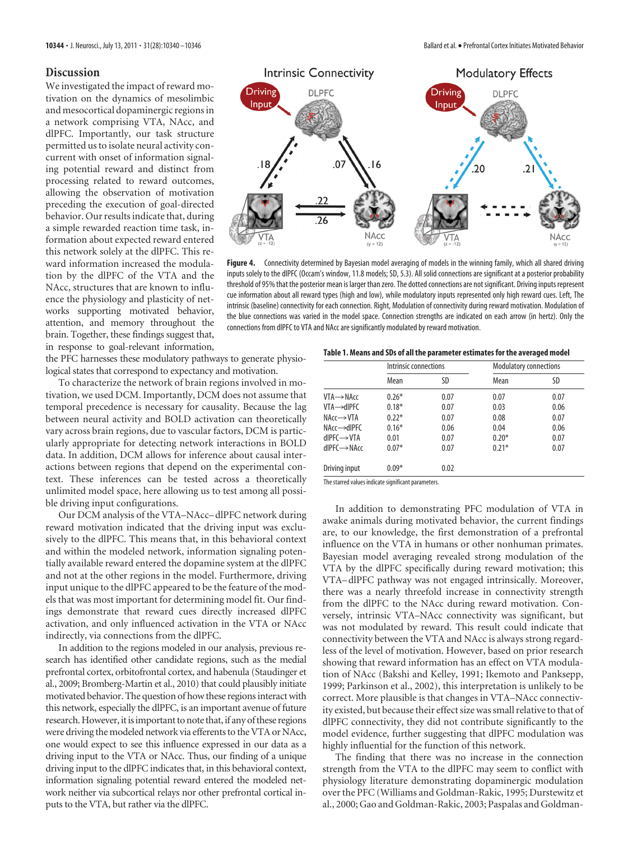#### **Discussion**

We investigated the impact of reward motivation on the dynamics of mesolimbic and mesocortical dopaminergic regions in a network comprising VTA, NAcc, and dlPFC. Importantly, our task structure permitted us to isolate neural activity concurrent with onset of information signaling potential reward and distinct from processing related to reward outcomes, allowing the observation of motivation preceding the execution of goal-directed behavior. Our results indicate that, during a simple rewarded reaction time task, information about expected reward entered this network solely at the dlPFC. This reward information increased the modulation by the dlPFC of the VTA and the NAcc, structures that are known to influence the physiology and plasticity of networks supporting motivated behavior, attention, and memory throughout the brain. Together, these findings suggest that, in response to goal-relevant information,

the PFC harnesses these modulatory pathways to generate physiological states that correspond to expectancy and motivation.

To characterize the network of brain regions involved in motivation, we used DCM. Importantly, DCM does not assume that temporal precedence is necessary for causality. Because the lag between neural activity and BOLD activation can theoretically vary across brain regions, due to vascular factors, DCM is particularly appropriate for detecting network interactions in BOLD data. In addition, DCM allows for inference about causal interactions between regions that depend on the experimental context. These inferences can be tested across a theoretically unlimited model space, here allowing us to test among all possible driving input configurations.

Our DCM analysis of the VTA–NAcc– dlPFC network during reward motivation indicated that the driving input was exclusively to the dlPFC. This means that, in this behavioral context and within the modeled network, information signaling potentially available reward entered the dopamine system at the dlPFC and not at the other regions in the model. Furthermore, driving input unique to the dlPFC appeared to be the feature of the models that was most important for determining model fit. Our findings demonstrate that reward cues directly increased dlPFC activation, and only influenced activation in the VTA or NAcc indirectly, via connections from the dlPFC.

In addition to the regions modeled in our analysis, previous research has identified other candidate regions, such as the medial prefrontal cortex, orbitofrontal cortex, and habenula (Staudinger et al., 2009; Bromberg-Martin et al., 2010) that could plausibly initiate motivated behavior. The question of how these regions interact with this network, especially the dlPFC, is an important avenue of future research. However, it is important to note that, if any of these regions were driving the modeled network via efferents to the VTA or NAcc, one would expect to see this influence expressed in our data as a driving input to the VTA or NAcc. Thus, our finding of a unique driving input to the dlPFC indicates that, in this behavioral context, information signaling potential reward entered the modeled network neither via subcortical relays nor other prefrontal cortical inputs to the VTA, but rather via the dlPFC.



**Modulatory Effects** 

**Figure 4.** Connectivity determined by Bayesian model averaging of models in the winning family, which all shared driving inputs solely to the dlPFC (Occam's window, 11.8 models; SD, 5.3). All solid connections are significant at a posterior probability threshold of 95% that the posterior mean is larger than zero. The dotted connections are not significant. Driving inputs represent cue information about all reward types (high and low), while modulatory inputs represented only high reward cues. Left, The intrinsic (baseline) connectivity for each connection. Right, Modulation of connectivity during reward motivation. Modulation of the blue connections was varied in the model space. Connection strengths are indicated on each arrow (in hertz). Only the connections from dlPFC to VTA and NAcc are significantly modulated by reward motivation.

|                             | Intrinsic connections |      | <b>Modulatory connections</b> |      |
|-----------------------------|-----------------------|------|-------------------------------|------|
|                             | Mean                  | SD   | Mean                          | SD   |
| $VTA \rightarrow NAcc$      | $0.26*$               | 0.07 | 0.07                          | 0.07 |
| VTA→dIPFC                   | $0.18*$               | 0.07 | 0.03                          | 0.06 |
| $NAcc \rightarrow VTA$      | $0.22*$               | 0.07 | 0.08                          | 0.07 |
| $NAcc \rightarrow dIPFC$    | $0.16*$               | 0.06 | 0.04                          | 0.06 |
| $d$ IPFC $\rightarrow$ VTA  | 0.01                  | 0.07 | $0.20*$                       | 0.07 |
| $d$ IPFC $\rightarrow$ NAcc | $0.07*$               | 0.07 | $0.21*$                       | 0.07 |
| Driving input               | $0.09*$               | 0.02 |                               |      |

The starred values indicate significant parameters.

In addition to demonstrating PFC modulation of VTA in awake animals during motivated behavior, the current findings are, to our knowledge, the first demonstration of a prefrontal influence on the VTA in humans or other nonhuman primates. Bayesian model averaging revealed strong modulation of the VTA by the dlPFC specifically during reward motivation; this VTA– dlPFC pathway was not engaged intrinsically. Moreover, there was a nearly threefold increase in connectivity strength from the dlPFC to the NAcc during reward motivation. Conversely, intrinsic VTA–NAcc connectivity was significant, but was not modulated by reward. This result could indicate that connectivity between the VTA and NAcc is always strong regardless of the level of motivation. However, based on prior research showing that reward information has an effect on VTA modulation of NAcc (Bakshi and Kelley, 1991; Ikemoto and Panksepp, 1999; Parkinson et al., 2002), this interpretation is unlikely to be correct. More plausible is that changes in VTA–NAcc connectivity existed, but because their effect size was small relative to that of dlPFC connectivity, they did not contribute significantly to the model evidence, further suggesting that dlPFC modulation was highly influential for the function of this network.

The finding that there was no increase in the connection strength from the VTA to the dlPFC may seem to conflict with physiology literature demonstrating dopaminergic modulation over the PFC (Williams and Goldman-Rakic, 1995; Durstewitz et al., 2000; Gao and Goldman-Rakic, 2003; Paspalas and Goldman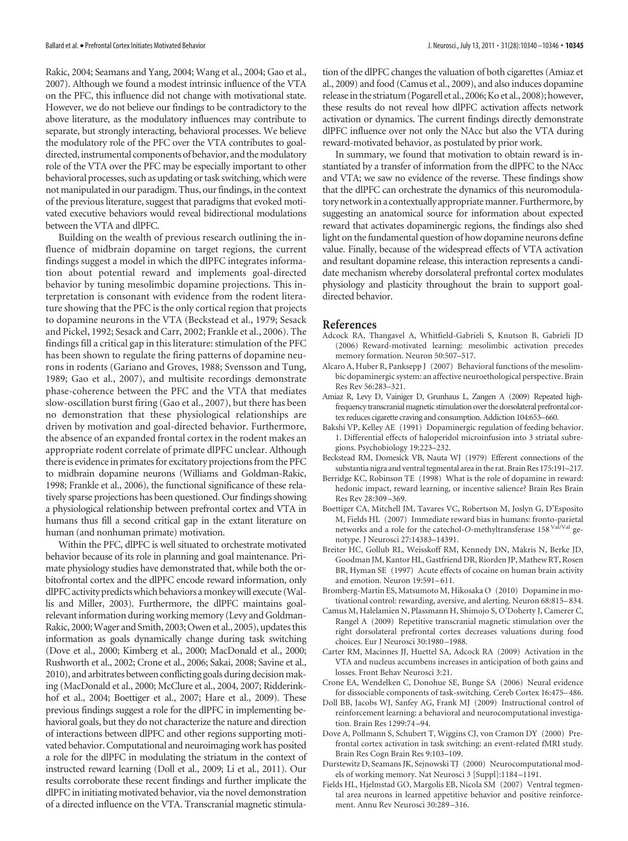Rakic, 2004; Seamans and Yang, 2004; Wang et al., 2004; Gao et al., 2007). Although we found a modest intrinsic influence of the VTA on the PFC, this influence did not change with motivational state. However, we do not believe our findings to be contradictory to the above literature, as the modulatory influences may contribute to separate, but strongly interacting, behavioral processes. We believe the modulatory role of the PFC over the VTA contributes to goaldirected, instrumental components of behavior, and the modulatory role of the VTA over the PFC may be especially important to other behavioral processes, such as updating or task switching, which were not manipulated in our paradigm. Thus, our findings, in the context of the previous literature, suggest that paradigms that evoked motivated executive behaviors would reveal bidirectional modulations between the VTA and dlPFC.

Building on the wealth of previous research outlining the influence of midbrain dopamine on target regions, the current findings suggest a model in which the dlPFC integrates information about potential reward and implements goal-directed behavior by tuning mesolimbic dopamine projections. This interpretation is consonant with evidence from the rodent literature showing that the PFC is the only cortical region that projects to dopamine neurons in the VTA (Beckstead et al., 1979; Sesack and Pickel, 1992; Sesack and Carr, 2002; Frankle et al., 2006). The findings fill a critical gap in this literature: stimulation of the PFC has been shown to regulate the firing patterns of dopamine neurons in rodents (Gariano and Groves, 1988; Svensson and Tung, 1989; Gao et al., 2007), and multisite recordings demonstrate phase-coherence between the PFC and the VTA that mediates slow-oscillation burst firing (Gao et al., 2007), but there has been no demonstration that these physiological relationships are driven by motivation and goal-directed behavior. Furthermore, the absence of an expanded frontal cortex in the rodent makes an appropriate rodent correlate of primate dlPFC unclear. Although there is evidence in primates for excitatory projections from the PFC to midbrain dopamine neurons (Williams and Goldman-Rakic, 1998; Frankle et al., 2006), the functional significance of these relatively sparse projections has been questioned. Our findings showing a physiological relationship between prefrontal cortex and VTA in humans thus fill a second critical gap in the extant literature on human (and nonhuman primate) motivation.

Within the PFC, dlPFC is well situated to orchestrate motivated behavior because of its role in planning and goal maintenance. Primate physiology studies have demonstrated that, while both the orbitofrontal cortex and the dlPFC encode reward information, only dlPFC activity predicts which behaviors a monkey will execute (Wallis and Miller, 2003). Furthermore, the dlPFC maintains goalrelevant information during working memory (Levy and Goldman-Rakic, 2000;Wager and Smith, 2003; Owen et al., 2005), updates this information as goals dynamically change during task switching (Dove et al., 2000; Kimberg et al., 2000; MacDonald et al., 2000; Rushworth et al., 2002; Crone et al., 2006; Sakai, 2008; Savine et al., 2010), and arbitrates between conflicting goals during decision making (MacDonald et al., 2000; McClure et al., 2004, 2007; Ridderinkhof et al., 2004; Boettiger et al., 2007; Hare et al., 2009). These previous findings suggest a role for the dlPFC in implementing behavioral goals, but they do not characterize the nature and direction of interactions between dlPFC and other regions supporting motivated behavior. Computational and neuroimaging work has posited a role for the dlPFC in modulating the striatum in the context of instructed reward learning (Doll et al., 2009; Li et al., 2011). Our results corroborate these recent findings and further implicate the dlPFC in initiating motivated behavior, via the novel demonstration of a directed influence on the VTA. Transcranial magnetic stimulation of the dlPFC changes the valuation of both cigarettes (Amiaz et al., 2009) and food (Camus et al., 2009), and also induces dopamine release in the striatum (Pogarell et al., 2006; Ko et al., 2008); however, these results do not reveal how dlPFC activation affects network activation or dynamics. The current findings directly demonstrate dlPFC influence over not only the NAcc but also the VTA during reward-motivated behavior, as postulated by prior work.

In summary, we found that motivation to obtain reward is instantiated by a transfer of information from the dlPFC to the NAcc and VTA; we saw no evidence of the reverse. These findings show that the dlPFC can orchestrate the dynamics of this neuromodulatory network in a contextually appropriate manner. Furthermore, by suggesting an anatomical source for information about expected reward that activates dopaminergic regions, the findings also shed light on the fundamental question of how dopamine neurons define value. Finally, because of the widespread effects of VTA activation and resultant dopamine release, this interaction represents a candidate mechanism whereby dorsolateral prefrontal cortex modulates physiology and plasticity throughout the brain to support goaldirected behavior.

#### **References**

- Adcock RA, Thangavel A, Whitfield-Gabrieli S, Knutson B, Gabrieli JD (2006) Reward-motivated learning: mesolimbic activation precedes memory formation. Neuron 50:507–517.
- Alcaro A, Huber R, Panksepp J (2007) Behavioral functions of the mesolimbic dopaminergic system: an affective neuroethological perspective. Brain Res Rev 56:283–321.
- Amiaz R, Levy D, Vainiger D, Grunhaus L, Zangen A (2009) Repeated highfrequency transcranial magnetic stimulation over the dorsolateral prefrontal cortex reduces cigarette craving and consumption. Addiction 104:653–660.
- Bakshi VP, Kelley AE (1991) Dopaminergic regulation of feeding behavior. 1. Differential effects of haloperidol microinfusion into 3 striatal subregions. Psychobiology 19:223–232.
- Beckstead RM, Domesick VB, Nauta WJ (1979) Efferent connections of the substantia nigra and ventral tegmental area in the rat. Brain Res 175:191–217.
- Berridge KC, Robinson TE (1998) What is the role of dopamine in reward: hedonic impact, reward learning, or incentive salience? Brain Res Brain Res Rev 28:309 –369.
- Boettiger CA, Mitchell JM, Tavares VC, Robertson M, Joslyn G, D'Esposito M, Fields HL (2007) Immediate reward bias in humans: fronto-parietal networks and a role for the catechol-O-methyltransferase 158<sup>Val/Val</sup> genotype. J Neurosci 27:14383–14391.
- Breiter HC, Gollub RL, Weisskoff RM, Kennedy DN, Makris N, Berke JD, Goodman JM, Kantor HL, Gastfriend DR, Riorden JP, Mathew RT, Rosen BR, Hyman SE (1997) Acute effects of cocaine on human brain activity and emotion. Neuron 19:591–611.
- Bromberg-Martin ES, Matsumoto M, Hikosaka O (2010) Dopamine in motivational control: rewarding, aversive, and alerting. Neuron 68:815–834.
- Camus M, Halelamien N, Plassmann H, Shimojo S, O'Doherty J, Camerer C, Rangel A (2009) Repetitive transcranial magnetic stimulation over the right dorsolateral prefrontal cortex decreases valuations during food choices. Eur J Neurosci 30:1980 –1988.
- Carter RM, Macinnes JJ, Huettel SA, Adcock RA (2009) Activation in the VTA and nucleus accumbens increases in anticipation of both gains and losses. Front Behav Neurosci 3:21.
- Crone EA, Wendelken C, Donohue SE, Bunge SA (2006) Neural evidence for dissociable components of task-switching. Cereb Cortex 16:475–486.
- Doll BB, Jacobs WJ, Sanfey AG, Frank MJ (2009) Instructional control of reinforcement learning: a behavioral and neurocomputational investigation. Brain Res 1299:74 –94.
- Dove A, Pollmann S, Schubert T, Wiggins CJ, von Cramon DY (2000) Prefrontal cortex activation in task switching: an event-related fMRI study. Brain Res Cogn Brain Res 9:103–109.
- Durstewitz D, Seamans JK, Sejnowski TJ (2000) Neurocomputational models of working memory. Nat Neurosci 3 [Suppl]:1184 –1191.
- Fields HL, Hjelmstad GO, Margolis EB, Nicola SM (2007) Ventral tegmental area neurons in learned appetitive behavior and positive reinforcement. Annu Rev Neurosci 30:289 –316.